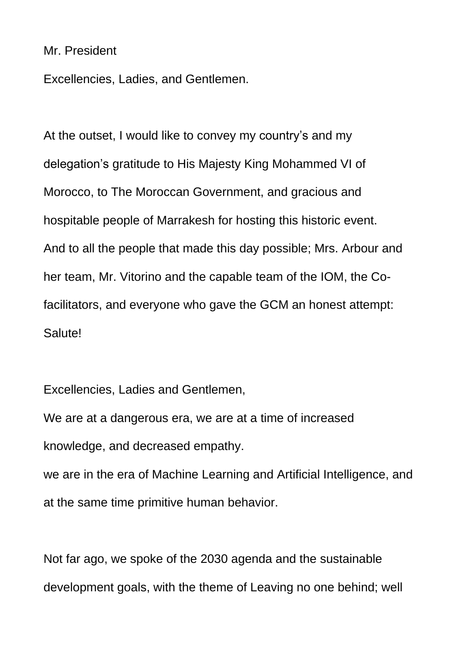## Mr. President

Excellencies, Ladies, and Gentlemen.

At the outset, I would like to convey my country's and my delegation's gratitude to His Majesty King Mohammed VI of Morocco, to The Moroccan Government, and gracious and hospitable people of Marrakesh for hosting this historic event. And to all the people that made this day possible; Mrs. Arbour and her team, Mr. Vitorino and the capable team of the IOM, the Cofacilitators, and everyone who gave the GCM an honest attempt: Salute!

Excellencies, Ladies and Gentlemen,

We are at a dangerous era, we are at a time of increased knowledge, and decreased empathy.

we are in the era of Machine Learning and Artificial Intelligence, and at the same time primitive human behavior.

Not far ago, we spoke of the 2030 agenda and the sustainable development goals, with the theme of Leaving no one behind; well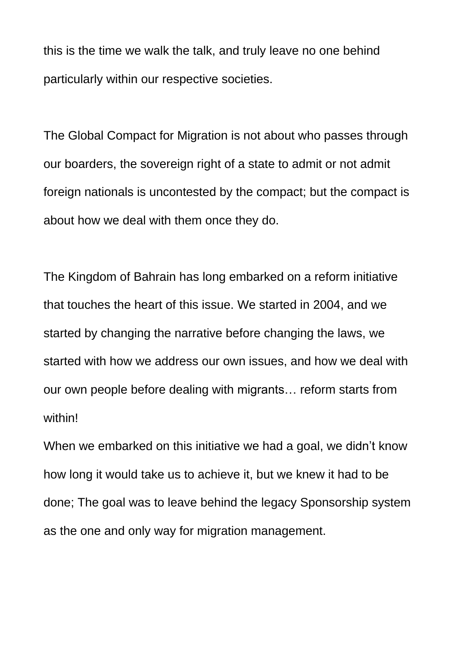this is the time we walk the talk, and truly leave no one behind particularly within our respective societies.

The Global Compact for Migration is not about who passes through our boarders, the sovereign right of a state to admit or not admit foreign nationals is uncontested by the compact; but the compact is about how we deal with them once they do.

The Kingdom of Bahrain has long embarked on a reform initiative that touches the heart of this issue. We started in 2004, and we started by changing the narrative before changing the laws, we started with how we address our own issues, and how we deal with our own people before dealing with migrants… reform starts from within!

When we embarked on this initiative we had a goal, we didn't know how long it would take us to achieve it, but we knew it had to be done; The goal was to leave behind the legacy Sponsorship system as the one and only way for migration management.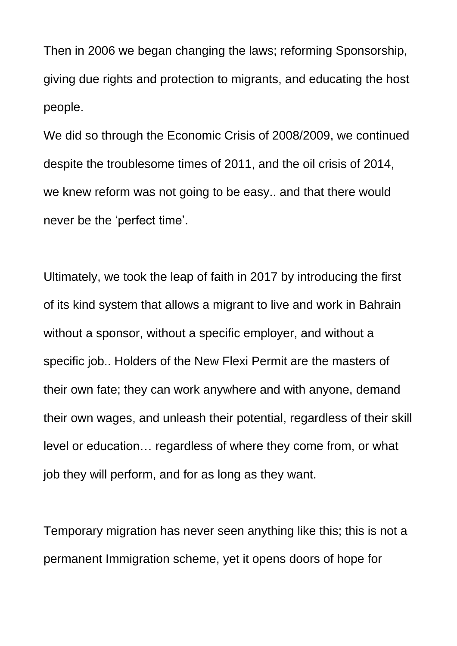Then in 2006 we began changing the laws; reforming Sponsorship, giving due rights and protection to migrants, and educating the host people.

We did so through the Economic Crisis of 2008/2009, we continued despite the troublesome times of 2011, and the oil crisis of 2014, we knew reform was not going to be easy.. and that there would never be the 'perfect time'.

Ultimately, we took the leap of faith in 2017 by introducing the first of its kind system that allows a migrant to live and work in Bahrain without a sponsor, without a specific employer, and without a specific job.. Holders of the New Flexi Permit are the masters of their own fate; they can work anywhere and with anyone, demand their own wages, and unleash their potential, regardless of their skill level or education… regardless of where they come from, or what job they will perform, and for as long as they want.

Temporary migration has never seen anything like this; this is not a permanent Immigration scheme, yet it opens doors of hope for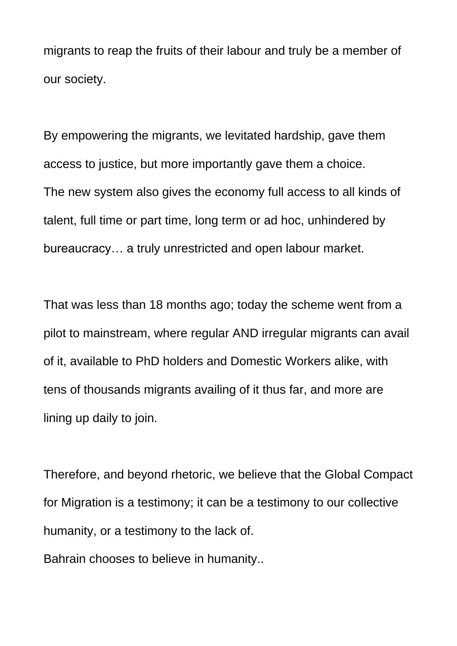migrants to reap the fruits of their labour and truly be a member of our society.

By empowering the migrants, we levitated hardship, gave them access to justice, but more importantly gave them a choice. The new system also gives the economy full access to all kinds of talent, full time or part time, long term or ad hoc, unhindered by bureaucracy… a truly unrestricted and open labour market.

That was less than 18 months ago; today the scheme went from a pilot to mainstream, where regular AND irregular migrants can avail of it, available to PhD holders and Domestic Workers alike, with tens of thousands migrants availing of it thus far, and more are lining up daily to join.

Therefore, and beyond rhetoric, we believe that the Global Compact for Migration is a testimony; it can be a testimony to our collective humanity, or a testimony to the lack of.

Bahrain chooses to believe in humanity..